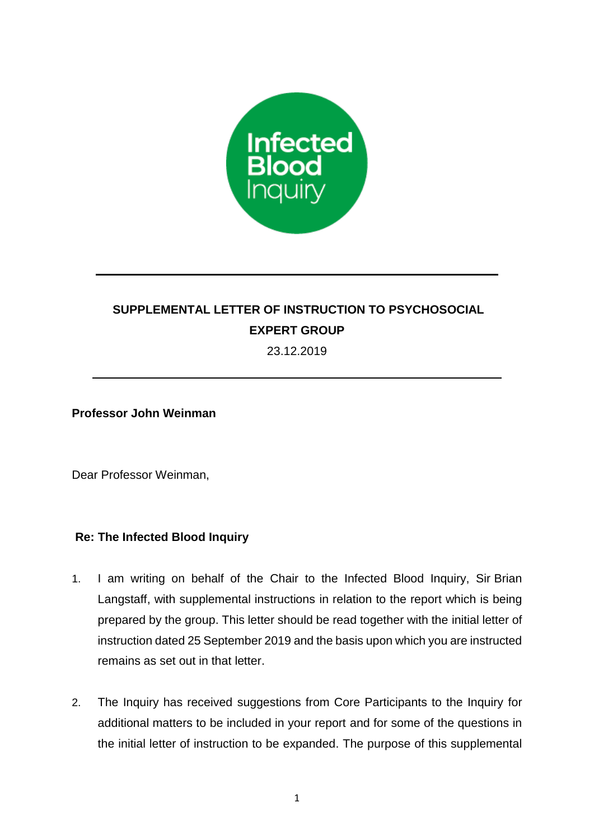

## **SUPPLEMENTAL LETTER OF INSTRUCTION TO PSYCHOSOCIAL EXPERT GROUP**

23.12.2019

**Professor John Weinman**

Dear Professor Weinman,

## **Re: The Infected Blood Inquiry**

- 1. I am writing on behalf of the Chair to the Infected Blood Inquiry, Sir Brian Langstaff, with supplemental instructions in relation to the report which is being prepared by the group. This letter should be read together with the initial letter of instruction dated 25 September 2019 and the basis upon which you are instructed remains as set out in that letter.
- 2. The Inquiry has received suggestions from Core Participants to the Inquiry for additional matters to be included in your report and for some of the questions in the initial letter of instruction to be expanded. The purpose of this supplemental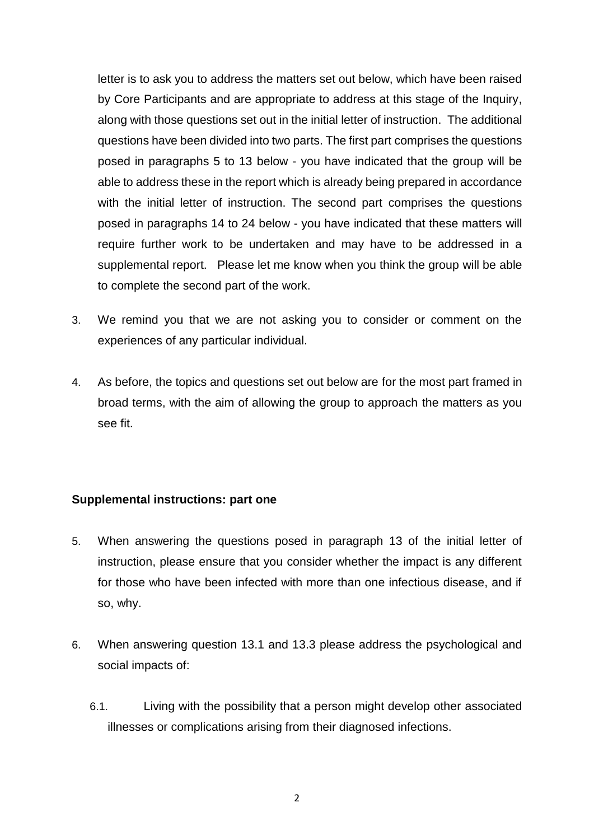letter is to ask you to address the matters set out below, which have been raised by Core Participants and are appropriate to address at this stage of the Inquiry, along with those questions set out in the initial letter of instruction. The additional questions have been divided into two parts. The first part comprises the questions posed in paragraphs 5 to 13 below - you have indicated that the group will be able to address these in the report which is already being prepared in accordance with the initial letter of instruction. The second part comprises the questions posed in paragraphs 14 to 24 below - you have indicated that these matters will require further work to be undertaken and may have to be addressed in a supplemental report. Please let me know when you think the group will be able to complete the second part of the work.

- 3. We remind you that we are not asking you to consider or comment on the experiences of any particular individual.
- 4. As before, the topics and questions set out below are for the most part framed in broad terms, with the aim of allowing the group to approach the matters as you see fit.

## **Supplemental instructions: part one**

- 5. When answering the questions posed in paragraph 13 of the initial letter of instruction, please ensure that you consider whether the impact is any different for those who have been infected with more than one infectious disease, and if so, why.
- 6. When answering question 13.1 and 13.3 please address the psychological and social impacts of:
	- 6.1. Living with the possibility that a person might develop other associated illnesses or complications arising from their diagnosed infections.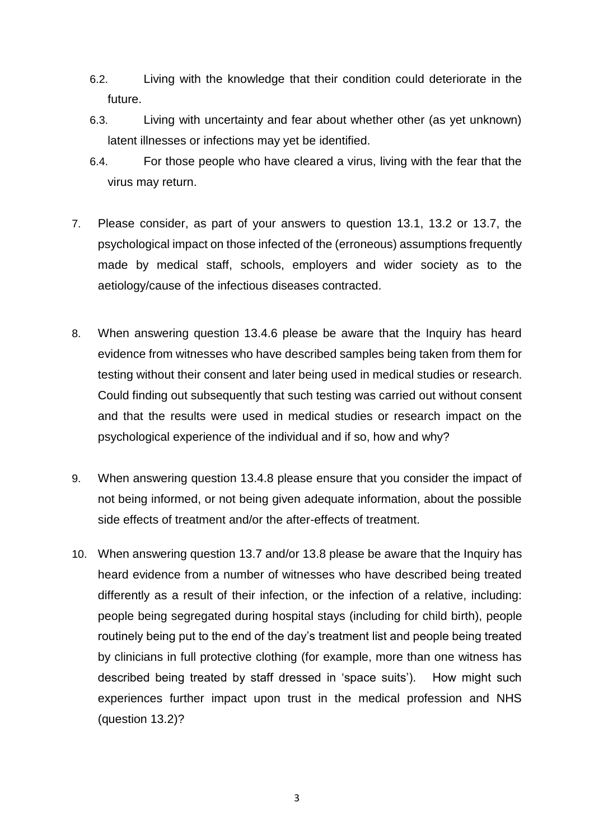- 6.2. Living with the knowledge that their condition could deteriorate in the future.
- 6.3. Living with uncertainty and fear about whether other (as yet unknown) latent illnesses or infections may yet be identified.
- 6.4. For those people who have cleared a virus, living with the fear that the virus may return.
- 7. Please consider, as part of your answers to question 13.1, 13.2 or 13.7, the psychological impact on those infected of the (erroneous) assumptions frequently made by medical staff, schools, employers and wider society as to the aetiology/cause of the infectious diseases contracted.
- 8. When answering question 13.4.6 please be aware that the Inquiry has heard evidence from witnesses who have described samples being taken from them for testing without their consent and later being used in medical studies or research. Could finding out subsequently that such testing was carried out without consent and that the results were used in medical studies or research impact on the psychological experience of the individual and if so, how and why?
- 9. When answering question 13.4.8 please ensure that you consider the impact of not being informed, or not being given adequate information, about the possible side effects of treatment and/or the after-effects of treatment.
- 10. When answering question 13.7 and/or 13.8 please be aware that the Inquiry has heard evidence from a number of witnesses who have described being treated differently as a result of their infection, or the infection of a relative, including: people being segregated during hospital stays (including for child birth), people routinely being put to the end of the day's treatment list and people being treated by clinicians in full protective clothing (for example, more than one witness has described being treated by staff dressed in 'space suits'). How might such experiences further impact upon trust in the medical profession and NHS (question 13.2)?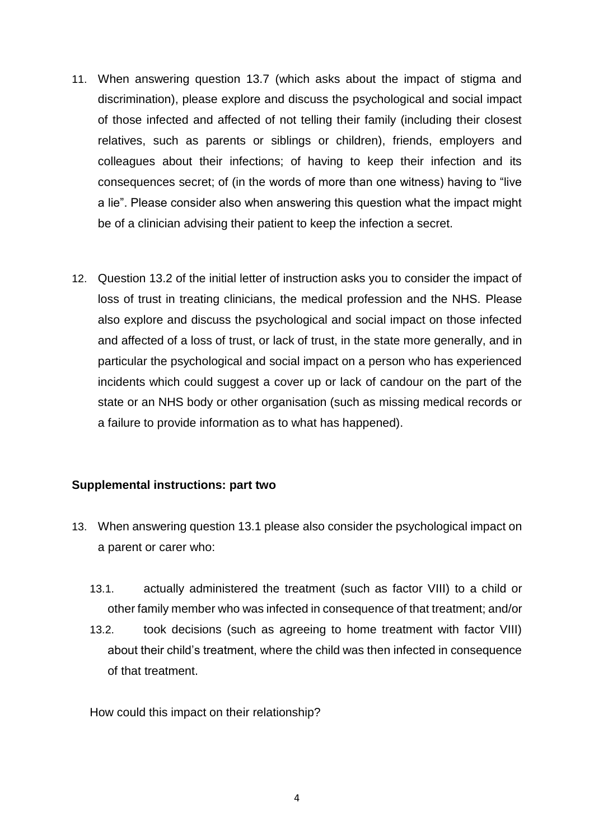- 11. When answering question 13.7 (which asks about the impact of stigma and discrimination), please explore and discuss the psychological and social impact of those infected and affected of not telling their family (including their closest relatives, such as parents or siblings or children), friends, employers and colleagues about their infections; of having to keep their infection and its consequences secret; of (in the words of more than one witness) having to "live a lie". Please consider also when answering this question what the impact might be of a clinician advising their patient to keep the infection a secret.
- 12. Question 13.2 of the initial letter of instruction asks you to consider the impact of loss of trust in treating clinicians, the medical profession and the NHS. Please also explore and discuss the psychological and social impact on those infected and affected of a loss of trust, or lack of trust, in the state more generally, and in particular the psychological and social impact on a person who has experienced incidents which could suggest a cover up or lack of candour on the part of the state or an NHS body or other organisation (such as missing medical records or a failure to provide information as to what has happened).

## **Supplemental instructions: part two**

- 13. When answering question 13.1 please also consider the psychological impact on a parent or carer who:
	- 13.1. actually administered the treatment (such as factor VIII) to a child or other family member who was infected in consequence of that treatment; and/or
	- 13.2. took decisions (such as agreeing to home treatment with factor VIII) about their child's treatment, where the child was then infected in consequence of that treatment.

How could this impact on their relationship?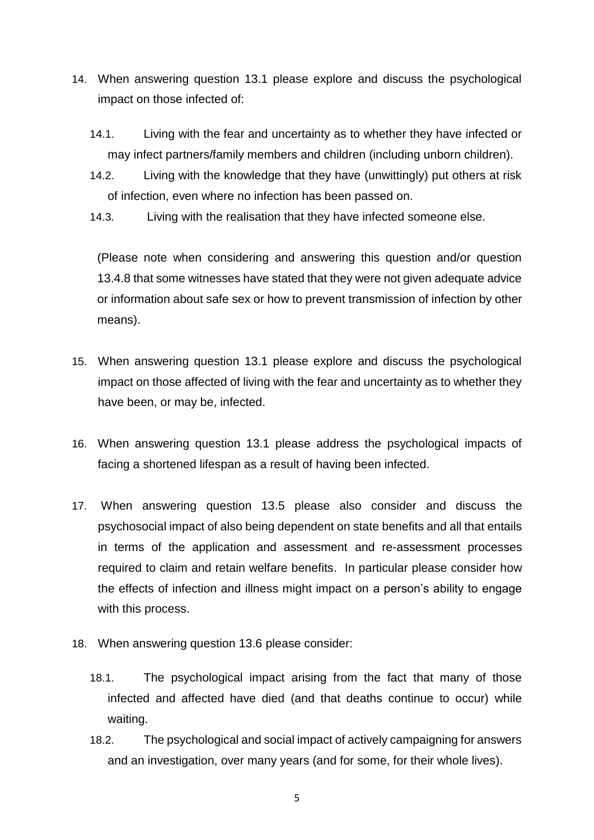- 14. When answering question 13.1 please explore and discuss the psychological impact on those infected of:
	- 14.1. Living with the fear and uncertainty as to whether they have infected or may infect partners/family members and children (including unborn children).
	- 14.2. Living with the knowledge that they have (unwittingly) put others at risk of infection, even where no infection has been passed on.
	- 14.3. Living with the realisation that they have infected someone else.

(Please note when considering and answering this question and/or question 13.4.8 that some witnesses have stated that they were not given adequate advice or information about safe sex or how to prevent transmission of infection by other means).

- 15. When answering question 13.1 please explore and discuss the psychological impact on those affected of living with the fear and uncertainty as to whether they have been, or may be, infected.
- 16. When answering question 13.1 please address the psychological impacts of facing a shortened lifespan as a result of having been infected.
- 17. When answering question 13.5 please also consider and discuss the psychosocial impact of also being dependent on state benefits and all that entails in terms of the application and assessment and re-assessment processes required to claim and retain welfare benefits. In particular please consider how the effects of infection and illness might impact on a person's ability to engage with this process.
- 18. When answering question 13.6 please consider:
	- 18.1. The psychological impact arising from the fact that many of those infected and affected have died (and that deaths continue to occur) while waiting.
	- 18.2. The psychological and social impact of actively campaigning for answers and an investigation, over many years (and for some, for their whole lives).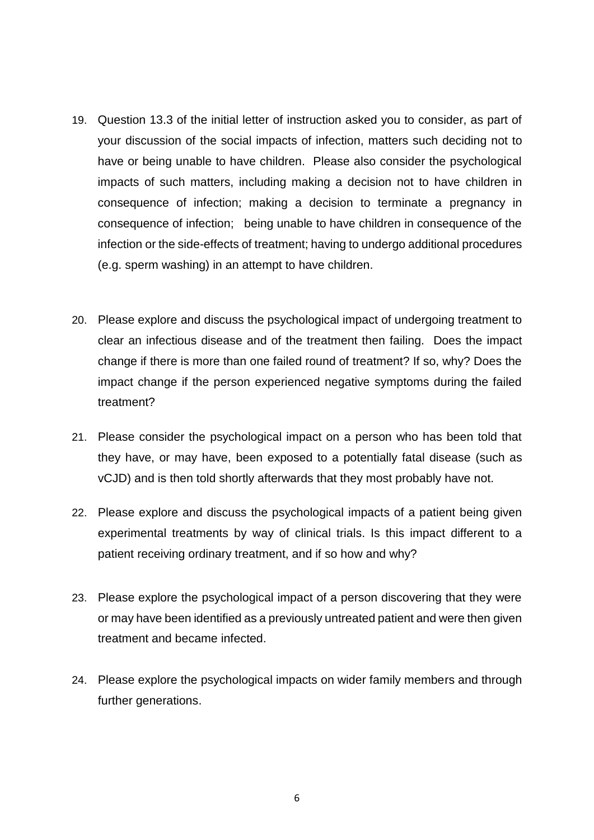- 19. Question 13.3 of the initial letter of instruction asked you to consider, as part of your discussion of the social impacts of infection, matters such deciding not to have or being unable to have children. Please also consider the psychological impacts of such matters, including making a decision not to have children in consequence of infection; making a decision to terminate a pregnancy in consequence of infection; being unable to have children in consequence of the infection or the side-effects of treatment; having to undergo additional procedures (e.g. sperm washing) in an attempt to have children.
- 20. Please explore and discuss the psychological impact of undergoing treatment to clear an infectious disease and of the treatment then failing. Does the impact change if there is more than one failed round of treatment? If so, why? Does the impact change if the person experienced negative symptoms during the failed treatment?
- 21. Please consider the psychological impact on a person who has been told that they have, or may have, been exposed to a potentially fatal disease (such as vCJD) and is then told shortly afterwards that they most probably have not.
- 22. Please explore and discuss the psychological impacts of a patient being given experimental treatments by way of clinical trials. Is this impact different to a patient receiving ordinary treatment, and if so how and why?
- 23. Please explore the psychological impact of a person discovering that they were or may have been identified as a previously untreated patient and were then given treatment and became infected.
- 24. Please explore the psychological impacts on wider family members and through further generations.